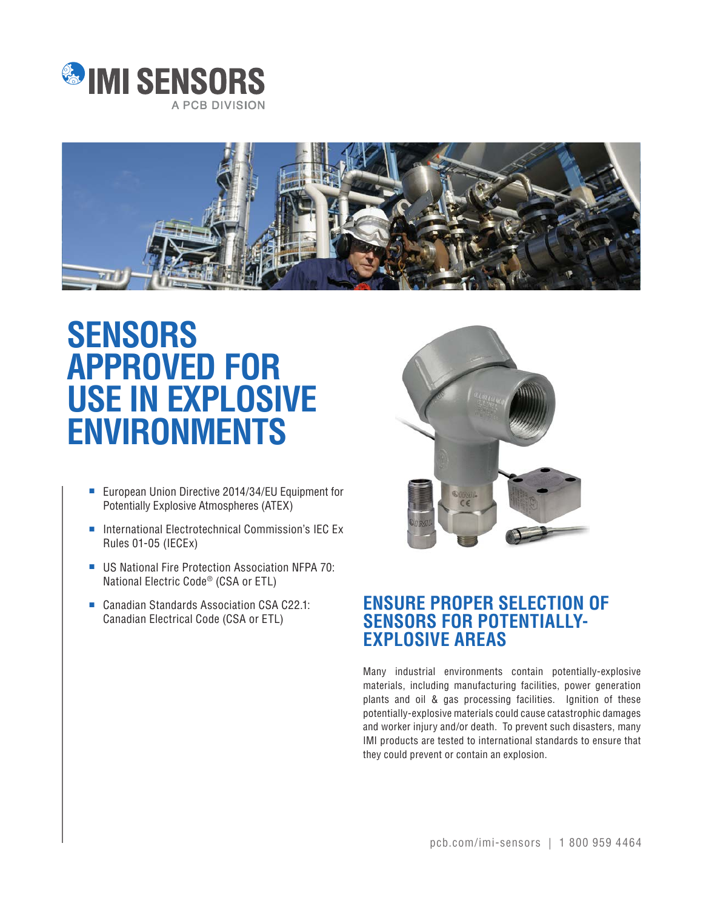



## **SENSORS APPROVED FOR USE IN EXPLOSIVE ENVIRONMENTS**

- European Union Directive 2014/34/EU Equipment for Potentially Explosive Atmospheres (ATEX)
- International Electrotechnical Commission's IEC Ex Rules 01-05 (IECEx)
- US National Fire Protection Association NFPA 70: National Electric Code® (CSA or ETL)
- Canadian Standards Association CSA C22.1: Canadian Electrical Code (CSA or ETL)



## **ENSURE PROPER SELECTION OF SENSORS FOR POTENTIALLY-EXPLOSIVE AREAS**

Many industrial environments contain potentially-explosive materials, including manufacturing facilities, power generation plants and oil & gas processing facilities. Ignition of these potentially-explosive materials could cause catastrophic damages and worker injury and/or death. To prevent such disasters, many IMI products are tested to international standards to ensure that they could prevent or contain an explosion.